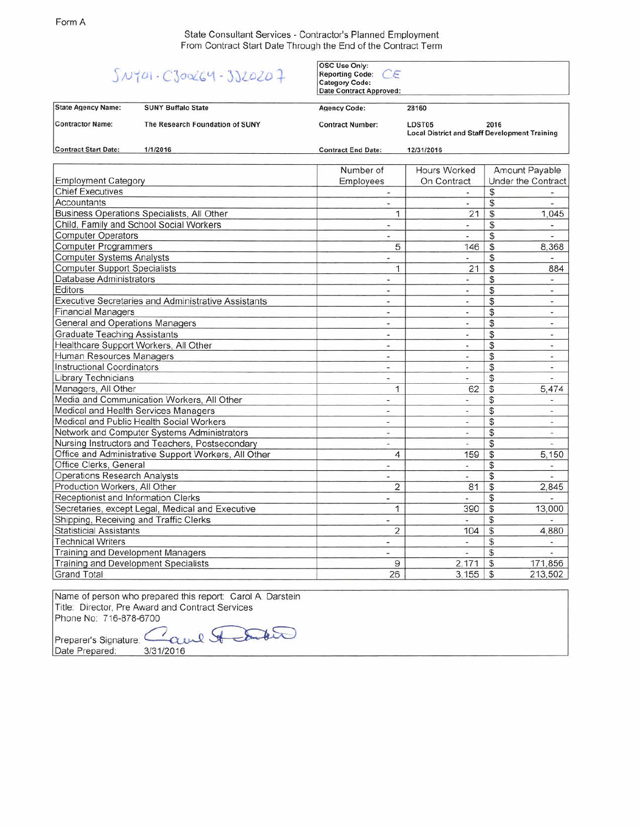State Consultant Services - Contractor's Planned Employment From Contract Start Date Through the End of the Contract Term

## $S_{11}a_{11}$ ,  $C_{100}/c_{11}$ ,  $W_{1020}$

|                                                      | $5N701 - C300264 - 3320207$                     | OSC Use Only:<br><b>Reporting Code:</b><br>CE<br><b>Category Code:</b><br><b>Date Contract Approved:</b> |                                                                        |                           |                                                                                                                                                                                                                                                                                                                                                                                                                                                                            |
|------------------------------------------------------|-------------------------------------------------|----------------------------------------------------------------------------------------------------------|------------------------------------------------------------------------|---------------------------|----------------------------------------------------------------------------------------------------------------------------------------------------------------------------------------------------------------------------------------------------------------------------------------------------------------------------------------------------------------------------------------------------------------------------------------------------------------------------|
| <b>State Agency Name:</b>                            | <b>SUNY Buffalo State</b>                       | <b>Agency Code:</b>                                                                                      | 28160                                                                  |                           |                                                                                                                                                                                                                                                                                                                                                                                                                                                                            |
| <b>Contractor Name:</b>                              | The Research Foundation of SUNY                 | <b>Contract Number:</b>                                                                                  | LDST05<br>2016<br><b>Local District and Staff Development Training</b> |                           |                                                                                                                                                                                                                                                                                                                                                                                                                                                                            |
| <b>Contract Start Date:</b>                          | 1/1/2016                                        | <b>Contract End Date:</b>                                                                                | 12/31/2016                                                             |                           |                                                                                                                                                                                                                                                                                                                                                                                                                                                                            |
|                                                      |                                                 | Number of                                                                                                | Hours Worked                                                           |                           | Amount Payable                                                                                                                                                                                                                                                                                                                                                                                                                                                             |
| <b>Employment Category</b>                           |                                                 | Employees                                                                                                | On Contract                                                            |                           | Under the Contract                                                                                                                                                                                                                                                                                                                                                                                                                                                         |
| <b>Chief Executives</b>                              |                                                 |                                                                                                          |                                                                        | S                         |                                                                                                                                                                                                                                                                                                                                                                                                                                                                            |
| Accountants                                          |                                                 | ÷.                                                                                                       | ₽                                                                      | \$                        |                                                                                                                                                                                                                                                                                                                                                                                                                                                                            |
|                                                      | Business Operations Specialists, All Other      | 1                                                                                                        | 21                                                                     | \$                        | 1.045                                                                                                                                                                                                                                                                                                                                                                                                                                                                      |
|                                                      | Child, Family and School Social Workers         | ÷.                                                                                                       | ÷                                                                      | \$                        | $\blacksquare$                                                                                                                                                                                                                                                                                                                                                                                                                                                             |
| <b>Computer Operators</b>                            |                                                 | $\overline{\phantom{a}}$                                                                                 | P.                                                                     | \$                        | ×                                                                                                                                                                                                                                                                                                                                                                                                                                                                          |
| <b>Computer Programmers</b>                          |                                                 | 5                                                                                                        | 146                                                                    | \$                        | 8.368                                                                                                                                                                                                                                                                                                                                                                                                                                                                      |
| <b>Computer Systems Analysts</b>                     |                                                 | ÷                                                                                                        | $\frac{1}{2}$                                                          | \$                        | $\overline{a}$                                                                                                                                                                                                                                                                                                                                                                                                                                                             |
| <b>Computer Support Specialists</b>                  |                                                 | $\mathbf{1}$                                                                                             | 21                                                                     | \$                        | 884                                                                                                                                                                                                                                                                                                                                                                                                                                                                        |
| Database Administrators                              |                                                 | ÷                                                                                                        | $\overline{\phantom{a}}$                                               | \$                        | ÷.                                                                                                                                                                                                                                                                                                                                                                                                                                                                         |
| Editors                                              |                                                 | $\overline{\phantom{a}}$                                                                                 | $\omega$                                                               | \$                        | ÷.                                                                                                                                                                                                                                                                                                                                                                                                                                                                         |
| Executive Secretaries and Administrative Assistants  |                                                 | $\overline{a}$                                                                                           | $\overline{\phantom{a}}$                                               | \$                        | $\overline{\phantom{a}}$                                                                                                                                                                                                                                                                                                                                                                                                                                                   |
| <b>Financial Managers</b>                            |                                                 | ۰                                                                                                        | z.                                                                     | \$                        | ÷                                                                                                                                                                                                                                                                                                                                                                                                                                                                          |
| General and Operations Managers                      |                                                 | $\equiv$                                                                                                 | 꿐                                                                      | \$                        |                                                                                                                                                                                                                                                                                                                                                                                                                                                                            |
| <b>Graduate Teaching Assistants</b>                  |                                                 | $\overline{\phantom{a}}$                                                                                 | $\frac{1}{2}$                                                          | \$                        | $\overline{\phantom{a}}$                                                                                                                                                                                                                                                                                                                                                                                                                                                   |
| Healthcare Support Workers, All Other                |                                                 | ÷                                                                                                        | $\bullet$                                                              | $\overline{\mathfrak{s}}$ | $\overline{\phantom{a}}$                                                                                                                                                                                                                                                                                                                                                                                                                                                   |
| Human Resources Managers                             |                                                 | $\overline{a}$                                                                                           | $\overline{\phantom{a}}$                                               | \$                        | ÷.                                                                                                                                                                                                                                                                                                                                                                                                                                                                         |
| <b>Instructional Coordinators</b>                    |                                                 | i.                                                                                                       | ×.                                                                     | \$                        | ÷                                                                                                                                                                                                                                                                                                                                                                                                                                                                          |
| Library Technicians                                  |                                                 | $\overline{\phantom{a}}$                                                                                 | $\frac{1}{2}$                                                          | \$                        | ÷.                                                                                                                                                                                                                                                                                                                                                                                                                                                                         |
| Managers, All Other                                  |                                                 | 1                                                                                                        | 62                                                                     | \$                        | 5,474                                                                                                                                                                                                                                                                                                                                                                                                                                                                      |
| Media and Communication Workers, All Other           |                                                 | u                                                                                                        | ù,                                                                     | \$                        |                                                                                                                                                                                                                                                                                                                                                                                                                                                                            |
|                                                      | Medical and Health Services Managers            | ×                                                                                                        | $\sim$                                                                 | \$                        | $\sim$                                                                                                                                                                                                                                                                                                                                                                                                                                                                     |
|                                                      | Medical and Public Health Social Workers        | ÷,                                                                                                       | $\tilde{\phantom{a}}$                                                  | \$                        | $\sim$                                                                                                                                                                                                                                                                                                                                                                                                                                                                     |
|                                                      | Network and Computer Systems Administrators     | $\overline{\phantom{a}}$                                                                                 | $\overline{\phantom{a}}$                                               | \$                        | $\frac{1}{2} \left( \frac{1}{2} \right) \left( \frac{1}{2} \right) \left( \frac{1}{2} \right) \left( \frac{1}{2} \right) \left( \frac{1}{2} \right) \left( \frac{1}{2} \right) \left( \frac{1}{2} \right) \left( \frac{1}{2} \right) \left( \frac{1}{2} \right) \left( \frac{1}{2} \right) \left( \frac{1}{2} \right) \left( \frac{1}{2} \right) \left( \frac{1}{2} \right) \left( \frac{1}{2} \right) \left( \frac{1}{2} \right) \left( \frac{1}{2} \right) \left( \frac$ |
|                                                      | Nursing Instructors and Teachers, Postsecondary | ÷                                                                                                        | 육                                                                      | \$                        | $\omega$                                                                                                                                                                                                                                                                                                                                                                                                                                                                   |
| Office and Administrative Support Workers, All Other |                                                 | $\overline{4}$                                                                                           | 159                                                                    | \$                        | 5,150                                                                                                                                                                                                                                                                                                                                                                                                                                                                      |
| Office Clerks, General                               |                                                 | ٠                                                                                                        | ÷.                                                                     | \$                        | $\overline{\phantom{a}}$                                                                                                                                                                                                                                                                                                                                                                                                                                                   |
| <b>Operations Research Analysts</b>                  |                                                 | ä,                                                                                                       | ¥,                                                                     | \$                        |                                                                                                                                                                                                                                                                                                                                                                                                                                                                            |
| Production Workers, All Other                        |                                                 | 2                                                                                                        | 81                                                                     | \$                        | 2.845                                                                                                                                                                                                                                                                                                                                                                                                                                                                      |
| Receptionist and Information Clerks                  |                                                 | ÷                                                                                                        | ×.                                                                     | \$                        |                                                                                                                                                                                                                                                                                                                                                                                                                                                                            |
| Secretaries, except Legal, Medical and Executive     |                                                 | 1                                                                                                        | 390                                                                    | \$                        | 13,000                                                                                                                                                                                                                                                                                                                                                                                                                                                                     |
| Shipping, Receiving and Traffic Clerks               |                                                 | ä,                                                                                                       | ۷                                                                      | \$                        | z                                                                                                                                                                                                                                                                                                                                                                                                                                                                          |
| <b>Statisticial Assistants</b>                       |                                                 | $\overline{2}$                                                                                           | 104                                                                    | $\mathfrak{S}$            | 4,880                                                                                                                                                                                                                                                                                                                                                                                                                                                                      |
| <b>Technical Writers</b>                             |                                                 | $\overline{\phantom{a}}$                                                                                 | ×.                                                                     | \$                        | $\sim$                                                                                                                                                                                                                                                                                                                                                                                                                                                                     |
| Training and Development Managers                    |                                                 | ú                                                                                                        |                                                                        | $\overline{\mathcal{L}}$  |                                                                                                                                                                                                                                                                                                                                                                                                                                                                            |
| Training and Development Specialists                 |                                                 | 9                                                                                                        | 2,171                                                                  | \$                        | 171,856                                                                                                                                                                                                                                                                                                                                                                                                                                                                    |
| <b>Grand Total</b>                                   |                                                 | 26                                                                                                       | 3,155                                                                  | \$                        | 213,502                                                                                                                                                                                                                                                                                                                                                                                                                                                                    |

Name of person who prepared this report: Carol A. Darstein Title: Director, Pre Award and Contract Services Phone No: 716-878-6700

Preparer's Signature:  $C_{\text{rel}}$ Date Prepared: 3/31/2016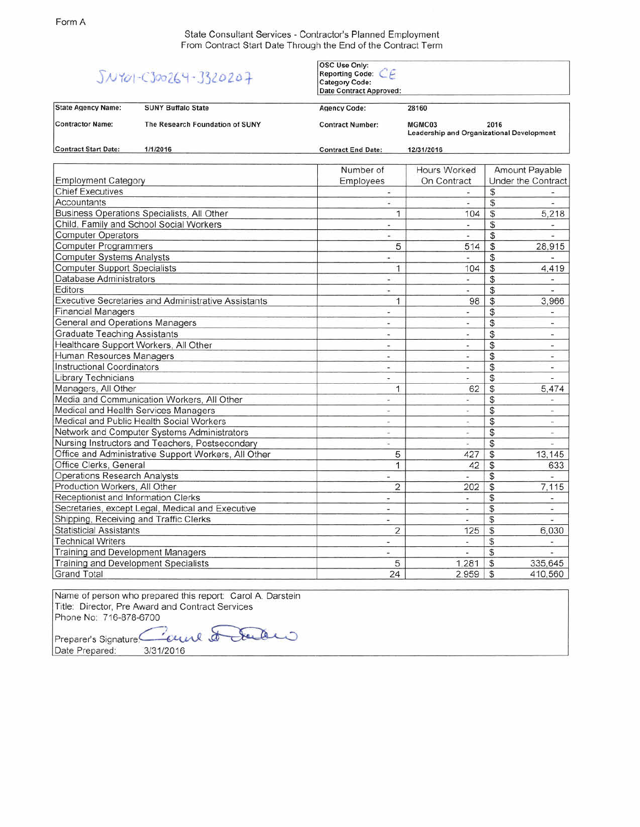State Consultant Services - Contractor's Planned Employment From Contract Start Date Through the End of the Contract Term

|                                                            | $5N701-C300264-3320207$                         | <b>OSC Use Only:</b><br>Reporting Code: CE<br><b>Category Code:</b><br><b>Date Contract Approved:</b> |                                                             |                                |  |
|------------------------------------------------------------|-------------------------------------------------|-------------------------------------------------------------------------------------------------------|-------------------------------------------------------------|--------------------------------|--|
| <b>State Agency Name:</b>                                  | <b>SUNY Buffalo State</b>                       | <b>Agency Code:</b>                                                                                   | 28160                                                       |                                |  |
| <b>Contractor Name:</b>                                    | The Research Foundation of SUNY                 | <b>Contract Number:</b>                                                                               | MGMC03<br>2016<br>Leadership and Organizational Development |                                |  |
| <b>Contract Start Date:</b>                                | 1/1/2016                                        | <b>Contract End Date:</b>                                                                             | 12/31/2016                                                  |                                |  |
|                                                            |                                                 | Number of                                                                                             | <b>Hours Worked</b>                                         | Amount Payable                 |  |
| <b>Employment Category</b>                                 |                                                 | Employees                                                                                             | On Contract                                                 | Under the Contract             |  |
| <b>Chief Executives</b>                                    |                                                 | $\overline{\phantom{a}}$                                                                              |                                                             | \$                             |  |
| Accountants                                                |                                                 | ÷,                                                                                                    | Φ                                                           | \$                             |  |
|                                                            | Business Operations Specialists, All Other      | $\mathbf{1}$                                                                                          | 104                                                         | $\sqrt{3}$<br>5,218            |  |
|                                                            | Child, Family and School Social Workers         | $\overline{\phantom{a}}$                                                                              | $\overline{\phantom{a}}$                                    | \$<br>$\overline{\phantom{a}}$ |  |
| <b>Computer Operators</b>                                  |                                                 | Ŵ.                                                                                                    | ä,                                                          | \$<br>c                        |  |
| <b>Computer Programmers</b>                                |                                                 | 5                                                                                                     | 514                                                         | \$<br>28,915                   |  |
| <b>Computer Systems Analysts</b>                           |                                                 | ÷.                                                                                                    | $\overline{\phantom{a}}$                                    | \$                             |  |
| <b>Computer Support Specialists</b>                        |                                                 | $\mathbf{1}$                                                                                          | 104                                                         | \$<br>4,419                    |  |
| Database Administrators                                    |                                                 | $\overline{\phantom{a}}$                                                                              | ú,                                                          | \$                             |  |
| Editors                                                    |                                                 | $\overline{\phantom{a}}$                                                                              | $\overline{\phantom{a}}$                                    | \$<br>¥                        |  |
| <b>Executive Secretaries and Administrative Assistants</b> |                                                 | $\mathbf{1}$                                                                                          | 98                                                          | $\mathfrak{S}$<br>3.966        |  |
| <b>Financial Managers</b>                                  |                                                 | $\sim$                                                                                                | ÷.                                                          | \$<br>띀                        |  |
| General and Operations Managers                            |                                                 | ×.                                                                                                    | ¥.                                                          | \$<br>÷                        |  |
| <b>Graduate Teaching Assistants</b>                        |                                                 | $\overline{\phantom{a}}$                                                                              | œ.                                                          | \$                             |  |
| Healthcare Support Workers, All Other                      |                                                 | $\overline{\phantom{a}}$                                                                              | ٠                                                           | \$<br>$\overline{a}$           |  |
| Human Resources Managers                                   |                                                 | ä,                                                                                                    | ¥,                                                          | \$<br>٠                        |  |
| <b>Instructional Coordinators</b>                          |                                                 | ×.                                                                                                    | ú,                                                          | \$<br>W.                       |  |
| Library Technicians                                        |                                                 | ÷                                                                                                     | ÷.                                                          | \$                             |  |
| Managers, All Other                                        |                                                 | $\mathbf{1}$                                                                                          | 62                                                          | $\mathfrak{s}$<br>5.474        |  |
|                                                            | Media and Communication Workers, All Other      | $\overline{\phantom{a}}$                                                                              | $\overline{\phantom{a}}$                                    | \$<br>$\frac{1}{2}$            |  |
| Medical and Health Services Managers                       |                                                 | ÷.                                                                                                    | $\overline{\phantom{a}}$                                    | \$<br>a.                       |  |
| Medical and Public Health Social Workers                   |                                                 | $\overline{a}$                                                                                        | ×,                                                          | \$<br>×.                       |  |
| Network and Computer Systems Administrators                |                                                 | ÷.                                                                                                    | Σ                                                           | \$<br>÷                        |  |
|                                                            | Nursing Instructors and Teachers, Postsecondary | ù,                                                                                                    | ÷,                                                          | \$<br>u                        |  |
| Office and Administrative Support Workers, All Other       |                                                 | 5                                                                                                     | 427                                                         | \$<br>13,145                   |  |
| Office Clerks, General                                     |                                                 | 1                                                                                                     | 42                                                          | \$<br>633                      |  |
| <b>Operations Research Analysts</b>                        |                                                 | u.                                                                                                    | Ξ                                                           | $\frac{1}{2}$<br>ο             |  |
| Production Workers, All Other                              |                                                 | $\overline{2}$                                                                                        | 202                                                         | \$<br>7.115                    |  |
| Receptionist and Information Clerks                        |                                                 | ۰                                                                                                     | ÷.                                                          | \$<br>٠                        |  |
| Secretaries, except Legal, Medical and Executive           |                                                 | ¥,                                                                                                    | Z.                                                          | \$<br>¥                        |  |
| Shipping, Receiving and Traffic Clerks                     |                                                 | $\overline{\phantom{a}}$                                                                              | a)                                                          | $\mathfrak{S}$<br>s.           |  |
| <b>Statisticial Assistants</b>                             |                                                 | $\overline{2}$                                                                                        | 125                                                         | $\mathfrak{S}$<br>6,030        |  |
| <b>Technical Writers</b>                                   |                                                 |                                                                                                       | ÷,                                                          | $\mathcal{S}$<br>÷,            |  |
| Training and Development Managers                          |                                                 | ä,                                                                                                    | L)                                                          | \$                             |  |
| Training and Development Specialists                       |                                                 | 5                                                                                                     | 1,281                                                       | \$<br>335,645                  |  |
| <b>Grand Total</b>                                         |                                                 | 24                                                                                                    | 2.959                                                       | $\mathcal{L}$<br>410,560       |  |

Name of person who prepared this report: Carol A. Darstein Title: Director, Pre Award and Contract Services Phone No: 716-878-6700

Preparer's Signature Count of Jackets Date Prepared: